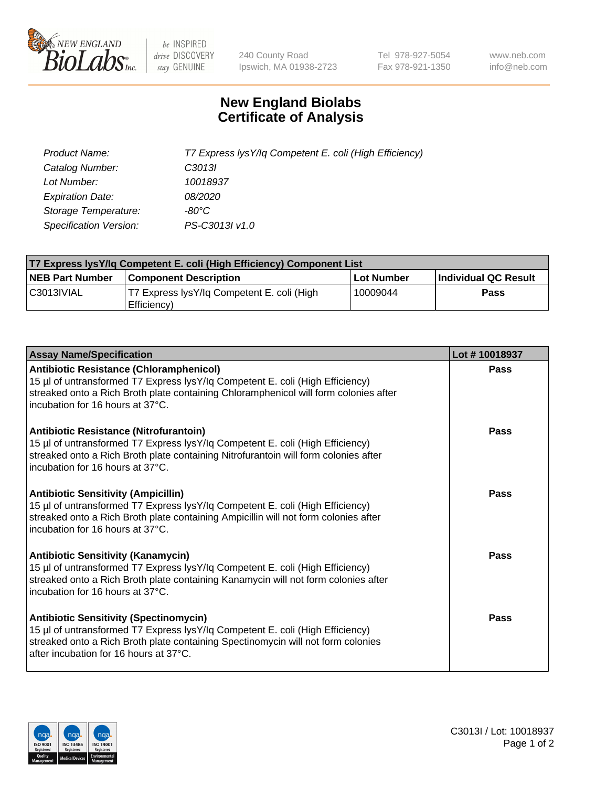

 $be$  INSPIRED drive DISCOVERY stay GENUINE

240 County Road Ipswich, MA 01938-2723 Tel 978-927-5054 Fax 978-921-1350 www.neb.com info@neb.com

## **New England Biolabs Certificate of Analysis**

| Product Name:           | T7 Express lysY/lq Competent E. coli (High Efficiency) |
|-------------------------|--------------------------------------------------------|
| Catalog Number:         | C <sub>3013</sub>                                      |
| Lot Number:             | 10018937                                               |
| <b>Expiration Date:</b> | <i>08/2020</i>                                         |
| Storage Temperature:    | -80°C                                                  |
| Specification Version:  | PS-C3013I v1.0                                         |

| T7 Express lysY/lq Competent E. coli (High Efficiency) Component List |                                                           |            |                      |  |
|-----------------------------------------------------------------------|-----------------------------------------------------------|------------|----------------------|--|
| <b>NEB Part Number</b>                                                | <b>Component Description</b>                              | Lot Number | Individual QC Result |  |
| C3013IVIAL                                                            | T7 Express lysY/lq Competent E. coli (High<br>Efficiency) | 10009044   | <b>Pass</b>          |  |

| <b>Assay Name/Specification</b>                                                                                                                                                                                                                              | Lot #10018937 |
|--------------------------------------------------------------------------------------------------------------------------------------------------------------------------------------------------------------------------------------------------------------|---------------|
| Antibiotic Resistance (Chloramphenicol)<br>15 µl of untransformed T7 Express lysY/lq Competent E. coli (High Efficiency)<br>streaked onto a Rich Broth plate containing Chloramphenicol will form colonies after<br>incubation for 16 hours at 37°C.         | Pass          |
| Antibiotic Resistance (Nitrofurantoin)<br>15 µl of untransformed T7 Express lysY/lq Competent E. coli (High Efficiency)<br>streaked onto a Rich Broth plate containing Nitrofurantoin will form colonies after<br>l incubation for 16 hours at 37°C.         | Pass          |
| <b>Antibiotic Sensitivity (Ampicillin)</b><br>15 µl of untransformed T7 Express lysY/lq Competent E. coli (High Efficiency)<br>streaked onto a Rich Broth plate containing Ampicillin will not form colonies after<br>Incubation for 16 hours at 37°C.       | <b>Pass</b>   |
| <b>Antibiotic Sensitivity (Kanamycin)</b><br>15 µl of untransformed T7 Express lysY/lq Competent E. coli (High Efficiency)<br>streaked onto a Rich Broth plate containing Kanamycin will not form colonies after<br>l incubation for 16 hours at 37°C.       | Pass          |
| <b>Antibiotic Sensitivity (Spectinomycin)</b><br>15 µl of untransformed T7 Express lysY/lq Competent E. coli (High Efficiency)<br>streaked onto a Rich Broth plate containing Spectinomycin will not form colonies<br>after incubation for 16 hours at 37°C. | Pass          |